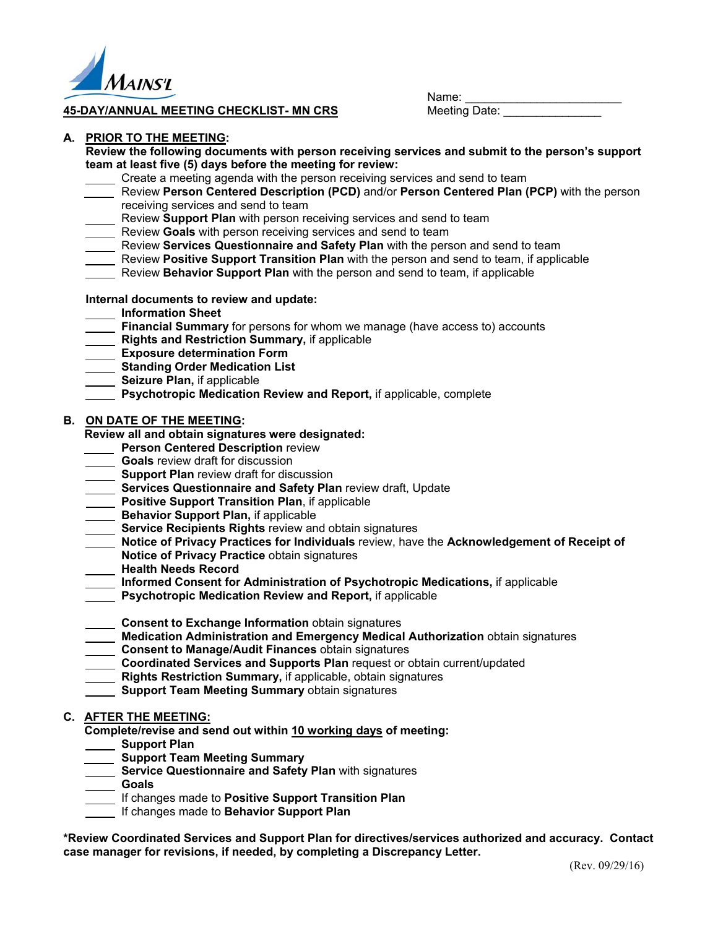

### **45-DAY/ANNUAL MEETING CHECKLIST- MN CRS Meeting Date:**

 $N$ ame:  $\blacksquare$ 

### **A. PRIOR TO THE MEETING:**

**Review the following documents with person receiving services and submit to the person's support team at least five (5) days before the meeting for review:** 

- Create a meeting agenda with the person receiving services and send to team
- Review **Person Centered Description (PCD)** and/or **Person Centered Plan (PCP)** with the person receiving services and send to team
- Review **Support Plan** with person receiving services and send to team
- **EXEC FORD FILM THE REVIEW SOMS TE REVIEW SOMS** Review **Goals** with person receiving services and send to team
- Review **Services Questionnaire and Safety Plan** with the person and send to team
- Review **Positive Support Transition Plan** with the person and send to team, if applicable
- Review **Behavior Support Plan** with the person and send to team, if applicable

# **Internal documents to review and update:**

- **Information Sheet**
- **Financial Summary** for persons for whom we manage (have access to) accounts
- **Rights and Restriction Summary, if applicable**
- **Exposure determination Form**
- **Standing Order Medication List**
- **Seizure Plan, if applicable**
- **Psychotropic Medication Review and Report,** if applicable, complete

### **B. ON DATE OF THE MEETING:**

**Review all and obtain signatures were designated:**

- **Person Centered Description review**
- **Goals** review draft for discussion
- **Support Plan** review draft for discussion
- **Services Questionnaire and Safety Plan** review draft, Update
- **Positive Support Transition Plan**, if applicable
- **Behavior Support Plan, if applicable**
- **Service Recipients Rights** review and obtain signatures
- **Notice of Privacy Practices for Individuals** review, have the **Acknowledgement of Receipt of**
- **Notice of Privacy Practice** obtain signatures
- **Health Needs Record**
- **Informed Consent for Administration of Psychotropic Medications,** if applicable
- **Psychotropic Medication Review and Report,** if applicable
- **Consent to Exchange Information** obtain signatures
- **Medication Administration and Emergency Medical Authorization obtain signatures**
- **Consent to Manage/Audit Finances** obtain signatures
- **Coordinated Services and Supports Plan request or obtain current/updated**
- **Rights Restriction Summary,** if applicable, obtain signatures
- **Support Team Meeting Summary** obtain signatures

# **C. AFTER THE MEETING:**

**Complete/revise and send out within 10 working days of meeting:**

- **Support Plan**
- **Support Team Meeting Summary**
- **Service Questionnaire and Safety Plan with signatures**
- **Goals** 
	- If changes made to **Positive Support Transition Plan**
- If changes made to **Behavior Support Plan**

**\*Review Coordinated Services and Support Plan for directives/services authorized and accuracy. Contact case manager for revisions, if needed, by completing a Discrepancy Letter.**